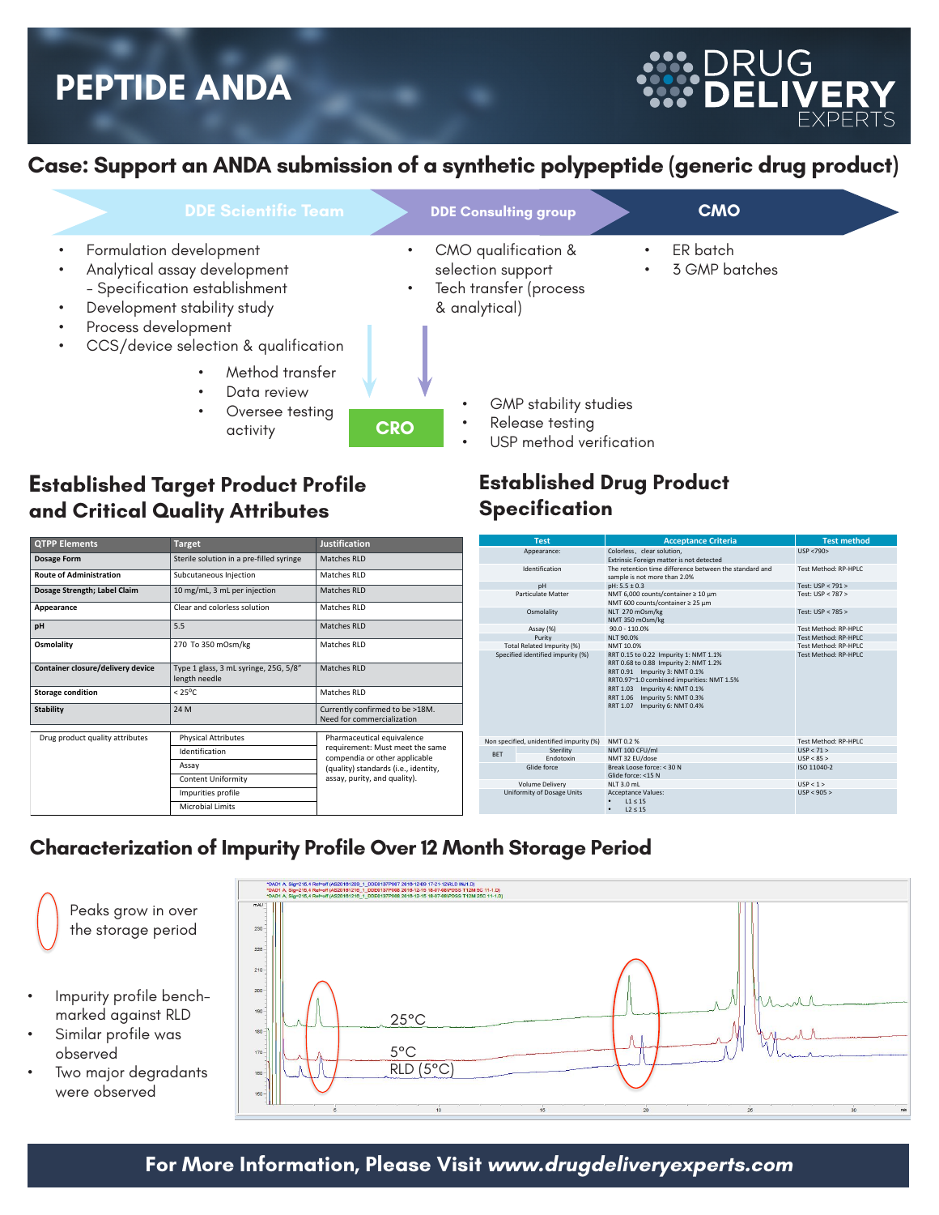## **PEPTIDE ANDA**

#### **Case: Support an ANDA submission of a synthetic polypeptide (generic drug product)**

| <b>DDE Scientific Team</b>                                                                                                                                                                                                                              | <b>DDE Consulting group</b>                                                                                                                                                           | <b>CMO</b>                             |
|---------------------------------------------------------------------------------------------------------------------------------------------------------------------------------------------------------------------------------------------------------|---------------------------------------------------------------------------------------------------------------------------------------------------------------------------------------|----------------------------------------|
| Formulation development<br>Analytical assay development<br>- Specification establishment<br>Development stability study<br>Process development<br>CCS/device selection & qualification<br>Method transfer<br>Data review<br>Oversee testing<br>activity | CMO qualification &<br>selection support<br>Tech transfer (process<br>$\bullet$<br>& analytical)<br>GMP stability studies<br>Release testing<br><b>CRO</b><br>USP method verification | ER batch<br>3 GMP batches<br>$\bullet$ |

#### **Established Target Product Profile and Critical Quality Attributes**

| <b>QTPP Elements</b>              | <b>Target</b>                                          | <b>Justification</b>                                             |  |
|-----------------------------------|--------------------------------------------------------|------------------------------------------------------------------|--|
| <b>Dosage Form</b>                | Sterile solution in a pre-filled syringe               | Matches RLD                                                      |  |
| <b>Route of Administration</b>    | Subcutaneous Injection                                 | Matches RLD                                                      |  |
| Dosage Strength; Label Claim      | 10 mg/mL, 3 mL per injection                           | Matches RLD                                                      |  |
| Appearance                        | Clear and colorless solution                           | Matches RLD                                                      |  |
| pH                                | 5.5                                                    | Matches RLD                                                      |  |
| Osmolality                        | 270 To 350 mOsm/kg                                     | Matches RLD                                                      |  |
| Container closure/delivery device | Type 1 glass, 3 mL syringe, 25G, 5/8"<br>length needle | <b>Matches RLD</b>                                               |  |
| <b>Storage condition</b>          | $< 25^{\circ}$ C                                       | Matches RLD                                                      |  |
| <b>Stability</b>                  | 24 M                                                   | Currently confirmed to be >18M.<br>Need for commercialization    |  |
| Drug product quality attributes   | <b>Physical Attributes</b>                             | Pharmaceutical equivalence                                       |  |
|                                   | Identification                                         | requirement: Must meet the same<br>compendia or other applicable |  |
|                                   | Assay                                                  | (quality) standards (i.e., identity,                             |  |
|                                   | <b>Content Uniformity</b>                              | assay, purity, and quality).                                     |  |
|                                   | Impurities profile                                     |                                                                  |  |
|                                   | <b>Microbial Limits</b>                                |                                                                  |  |

#### **Established Drug Product Specification**

|                                   | <b>Test</b>                              | <b>Acceptance Criteria</b>                                                                                                                                                                                                                                      | <b>Test method</b>          |
|-----------------------------------|------------------------------------------|-----------------------------------------------------------------------------------------------------------------------------------------------------------------------------------------------------------------------------------------------------------------|-----------------------------|
|                                   | Appearance:                              | Colorless, clear solution,<br>Extrinsic Foreign matter is not detected                                                                                                                                                                                          | USP <790>                   |
|                                   | Identification                           | The retention time difference between the standard and<br>sample is not more than 2.0%                                                                                                                                                                          | <b>Test Method: RP-HPLC</b> |
|                                   | DH                                       | $pH: 5.5 \pm 0.3$                                                                                                                                                                                                                                               | Test: USP < 791 >           |
|                                   | <b>Particulate Matter</b>                | NMT 6.000 counts/container ≥ 10 um<br>NMT 600 counts/container ≥ 25 µm                                                                                                                                                                                          | Test: USP < 787 >           |
|                                   | Osmolality                               | NLT 270 mOsm/kg<br>NMT 350 mOsm/kg                                                                                                                                                                                                                              | Test: USP < 785 >           |
|                                   | Assay (%)                                | $90.0 - 110.0%$                                                                                                                                                                                                                                                 | Test Method: RP-HPLC        |
|                                   | Purity                                   | <b>NLT 90.0%</b>                                                                                                                                                                                                                                                | Test Method: RP-HPLC        |
|                                   | Total Related Impurity (%)               | NMT 10.0%                                                                                                                                                                                                                                                       | <b>Test Method: RP-HPLC</b> |
| Specified identified impurity (%) |                                          | RRT 0.15 to 0.22 Impurity 1: NMT 1.1%<br>RRT 0.68 to 0.88 Impurity 2: NMT 1.2%<br>RRT 0.91 Impurity 3: NMT 0.1%<br>RRT0.97~1.0 combined impurities: NMT 1.5%<br>RRT 1.03 Impurity 4: NMT 0.1%<br>RRT 1.06 Impurity 5: NMT 0.3%<br>RRT 1.07 Impurity 6: NMT 0.4% | Test Method: RP-HPLC        |
|                                   | Non specified, unidentified impurity (%) | NMT 0.2 %                                                                                                                                                                                                                                                       | <b>Test Method: RP-HPLC</b> |
| <b>BFT</b>                        | Sterility                                | NMT 100 CFU/ml                                                                                                                                                                                                                                                  | USP < 71                    |
|                                   | Endotoxin                                | NMT 32 EU/dose                                                                                                                                                                                                                                                  | USP < 85                    |
|                                   | Glide force                              | Break Loose force: < 30 N<br>Glide force: <15 N                                                                                                                                                                                                                 | ISO 11040-2                 |
|                                   | Volume Delivery                          | NIT3.0ml                                                                                                                                                                                                                                                        | USP < 1                     |
|                                   | Uniformity of Dosage Units               | <b>Acceptance Values:</b><br>11 < 15<br>$L2 \leq 15$<br>$\bullet$                                                                                                                                                                                               | USP < 905                   |

RUG

#### **Characterization of Impurity Profile Over 12 Month Storage Period**

Peaks grow in over the storage period

- Impurity profile benchmarked against RLD
- Similar profile was observed
- Two major degradants were observed



#### **For More Information, Please Visit www.drugdeliveryexperts.com**